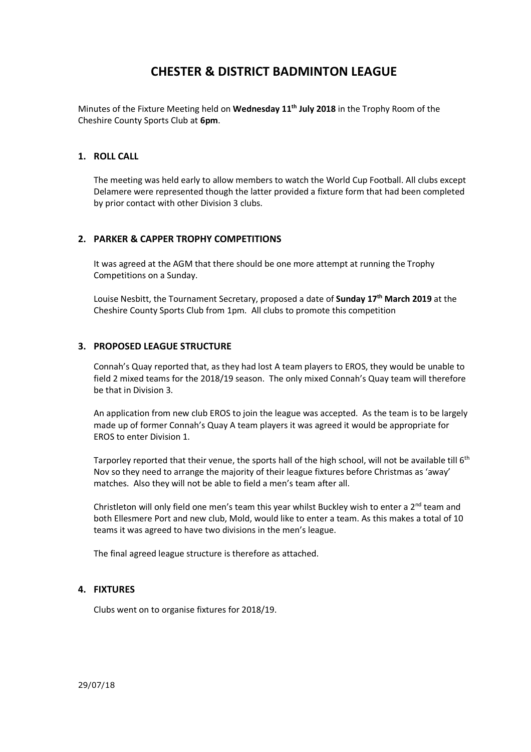## **CHESTER & DISTRICT BADMINTON LEAGUE**

Minutes of the Fixture Meeting held on **Wednesday 11th July 2018** in the Trophy Room of the Cheshire County Sports Club at **6pm**.

#### **1. ROLL CALL**

The meeting was held early to allow members to watch the World Cup Football. All clubs except Delamere were represented though the latter provided a fixture form that had been completed by prior contact with other Division 3 clubs.

#### **2. PARKER & CAPPER TROPHY COMPETITIONS**

It was agreed at the AGM that there should be one more attempt at running the Trophy Competitions on a Sunday.

Louise Nesbitt, the Tournament Secretary, proposed a date of **Sunday 17th March 2019** at the Cheshire County Sports Club from 1pm. All clubs to promote this competition

#### **3. PROPOSED LEAGUE STRUCTURE**

Connah's Quay reported that, as they had lost A team players to EROS, they would be unable to field 2 mixed teams for the 2018/19 season. The only mixed Connah's Quay team will therefore be that in Division 3.

An application from new club EROS to join the league was accepted. As the team is to be largely made up of former Connah's Quay A team players it was agreed it would be appropriate for EROS to enter Division 1.

Tarporley reported that their venue, the sports hall of the high school, will not be available till 6<sup>th</sup> Nov so they need to arrange the majority of their league fixtures before Christmas as 'away' matches. Also they will not be able to field a men's team after all.

Christleton will only field one men's team this year whilst Buckley wish to enter a  $2^{nd}$  team and both Ellesmere Port and new club, Mold, would like to enter a team. As this makes a total of 10 teams it was agreed to have two divisions in the men's league.

The final agreed league structure is therefore as attached.

#### **4. FIXTURES**

Clubs went on to organise fixtures for 2018/19.